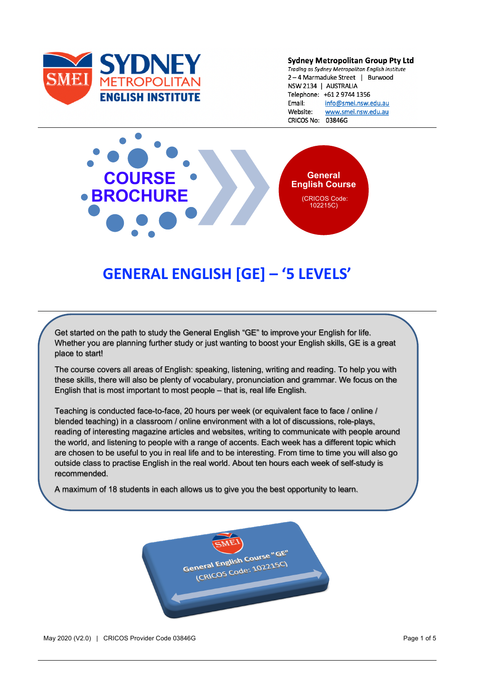

#### **Sydney Metropolitan Group Pty Ltd**

Trading as Sydney Metropolitan English Institute 2-4 Marmaduke Street | Burwood NSW 2134 | AUSTRALIA Telephone: +61 2 9744 1356 Email: info@smei.nsw.edu.au www.smei.nsw.edu.au Website: CRICOS No: 03846G



# **GENERAL ENGLISH [GE] – '5 LEVELS'**

Get started on the path to study the General English "GE" to improve your English for life. Whether you are planning further study or just wanting to boost your English skills, GE is a great place to start!

The course covers all areas of English: speaking, listening, writing and reading. To help you with these skills, there will also be plenty of vocabulary, pronunciation and grammar. We focus on the English that is most important to most people – that is, real life English.

Teaching is conducted face-to-face, 20 hours per week (or equivalent face to face / online / blended teaching) in a classroom / online environment with a lot of discussions, role-plays, reading of interesting magazine articles and websites, writing to communicate with people around the world, and listening to people with a range of accents. Each week has a different topic which are chosen to be useful to you in real life and to be interesting. From time to time you will also go outside class to practise English in the real world. About ten hours each week of self-study is recommended.

A maximum of 18 students in each allows us to give you the best opportunity to learn.

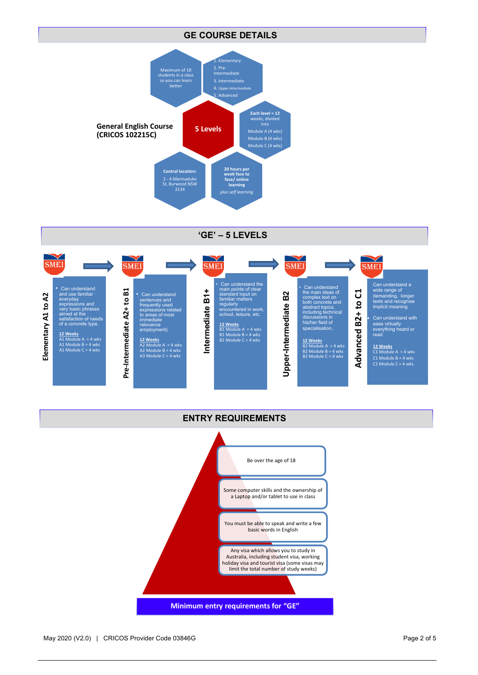#### **GE COURSE DETAILS**



**'GE' – 5 LEVELS**



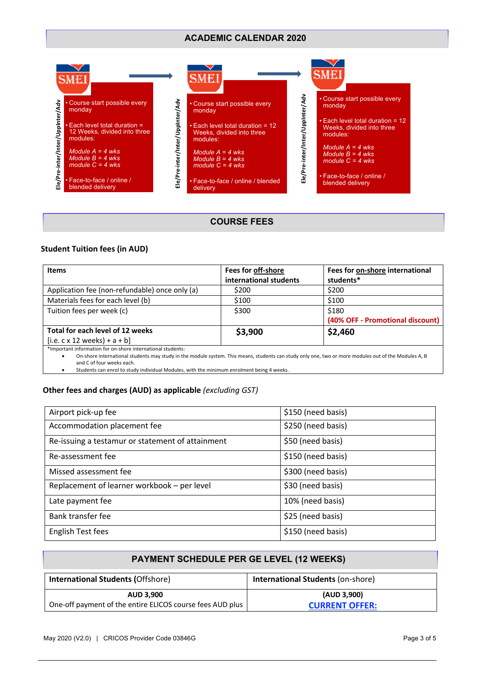## **ACADEMIC CALENDAR 2020**



## **COURSE FEES**

## **Student Tuition fees (in AUD)**

| <b>Items</b>                                                                                                                                                                      | Fees for off-shore     | Fees for on-shore international  |
|-----------------------------------------------------------------------------------------------------------------------------------------------------------------------------------|------------------------|----------------------------------|
|                                                                                                                                                                                   | international students | students*                        |
| Application fee (non-refundable) once only (a)                                                                                                                                    | \$200                  | \$200                            |
| Materials fees for each level (b)                                                                                                                                                 | \$100                  | \$100                            |
| Tuition fees per week (c)                                                                                                                                                         | \$300                  | \$180                            |
|                                                                                                                                                                                   |                        | (40% OFF - Promotional discount) |
| Total for each level of 12 weeks                                                                                                                                                  | \$3,900                | \$2,460                          |
| $[i.e. c x 12 weeks] + a + b]$                                                                                                                                                    |                        |                                  |
| *Important information for on-shore international students:                                                                                                                       |                        |                                  |
| On-shore international students may study in the module system. This means, students can study only one, two or more modules out of the Modules A, B<br>and C of four weeks each. |                        |                                  |

• Students can enrol to study individual Modules, with the minimum enrolment being 4 weeks.

## **Other fees and charges (AUD) as applicable** *(excluding GST)*

| Airport pick-up fee                              | \$150 (need basis) |
|--------------------------------------------------|--------------------|
| Accommodation placement fee                      | \$250 (need basis) |
| Re-issuing a testamur or statement of attainment | \$50 (need basis)  |
| Re-assessment fee                                | \$150 (need basis) |
| Missed assessment fee                            | \$300 (need basis) |
| Replacement of learner workbook - per level      | \$30 (need basis)  |
| Late payment fee                                 | 10% (need basis)   |
| Bank transfer fee                                | \$25 (need basis)  |
| English Test fees                                | \$150 (need basis) |

| <b>PAYMENT SCHEDULE PER GE LEVEL (12 WEEKS)</b>           |                                          |  |
|-----------------------------------------------------------|------------------------------------------|--|
| <b>International Students (Offshore)</b>                  | <b>International Students (on-shore)</b> |  |
| <b>AUD 3.900</b>                                          | (AUD 3,900)                              |  |
| One-off payment of the entire ELICOS course fees AUD plus | <b>CURRENT OFFER:</b>                    |  |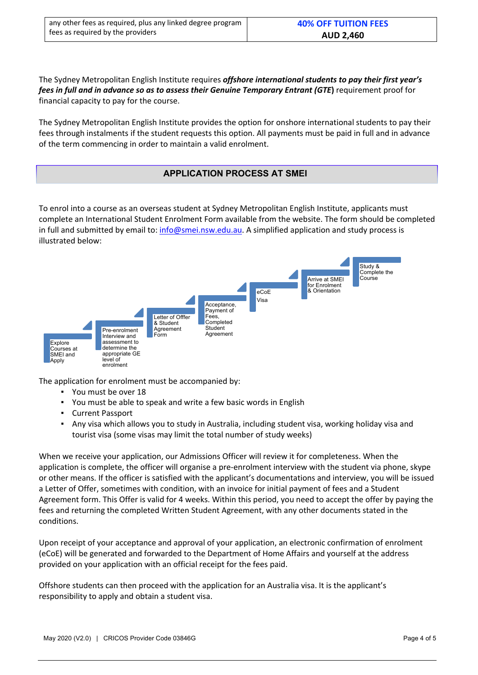| any other fees as required, plus any linked degree program | <b>40% OFF TUITION FEES</b> |
|------------------------------------------------------------|-----------------------------|
| fees as required by the providers                          | <b>AUD 2,460</b>            |

The Sydney Metropolitan English Institute requires *offshore international students to pay their first year's fees in full and in advance so as to assess their Genuine Temporary Entrant (GTE***)** requirement proof for financial capacity to pay for the course.

The Sydney Metropolitan English Institute provides the option for onshore international students to pay their fees through instalments if the student requests this option. All payments must be paid in full and in advance of the term commencing in order to maintain a valid enrolment.

## **APPLICATION PROCESS AT SMEI**

To enrol into a course as an overseas student at Sydney Metropolitan English Institute, applicants must complete an International Student Enrolment Form available from the website. The form should be completed in full and submitted by email to: info@smei.nsw.edu.au. A simplified application and study process is illustrated below:



The application for enrolment must be accompanied by:

- You must be over 18
- You must be able to speak and write a few basic words in English
- Current Passport
- Any visa which allows you to study in Australia, including student visa, working holiday visa and tourist visa (some visas may limit the total number of study weeks)

When we receive your application, our Admissions Officer will review it for completeness. When the application is complete, the officer will organise a pre-enrolment interview with the student via phone, skype or other means. If the officer is satisfied with the applicant's documentations and interview, you will be issued a Letter of Offer, sometimes with condition, with an invoice for initial payment of fees and a Student Agreement form. This Offer is valid for 4 weeks. Within this period, you need to accept the offer by paying the fees and returning the completed Written Student Agreement, with any other documents stated in the conditions.

Upon receipt of your acceptance and approval of your application, an electronic confirmation of enrolment (eCoE) will be generated and forwarded to the Department of Home Affairs and yourself at the address provided on your application with an official receipt for the fees paid.

Offshore students can then proceed with the application for an Australia visa. It is the applicant's responsibility to apply and obtain a student visa.